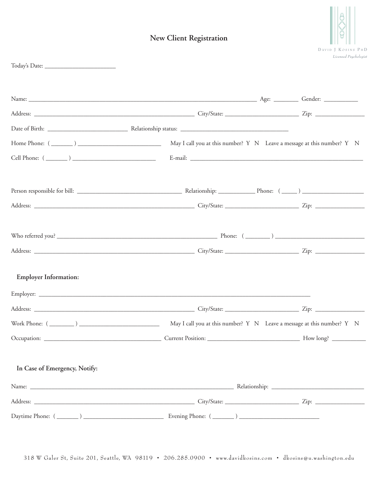# **New Client Registration**



| <b>Employer Information:</b>  |                                                                        |  |
|-------------------------------|------------------------------------------------------------------------|--|
|                               |                                                                        |  |
|                               |                                                                        |  |
|                               | May I call you at this number? Y N Leave a message at this number? Y N |  |
| Occupation:                   |                                                                        |  |
| In Case of Emergency, Notify: |                                                                        |  |
|                               |                                                                        |  |
|                               |                                                                        |  |
|                               |                                                                        |  |

318 W Galer St, Suite 201, Seattle, WA 98119 • 206.285.0900 • www.davidkosins.com • dkosins@u.washington.edu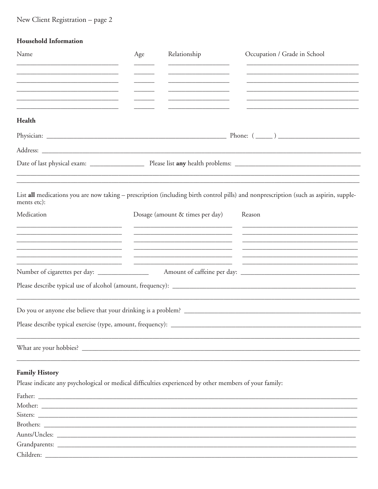## New Client Registration - page 2

| <b>Household Information</b> |
|------------------------------|

| Name                                                                                                                            | Age | Relationship                    | Occupation / Grade in School                                                                                                         |
|---------------------------------------------------------------------------------------------------------------------------------|-----|---------------------------------|--------------------------------------------------------------------------------------------------------------------------------------|
|                                                                                                                                 |     |                                 |                                                                                                                                      |
|                                                                                                                                 |     |                                 |                                                                                                                                      |
|                                                                                                                                 |     |                                 |                                                                                                                                      |
| <u> 1980 - Johann Barn, mars eta biztanleria (h. 1980).</u><br>Health                                                           |     |                                 |                                                                                                                                      |
|                                                                                                                                 |     |                                 |                                                                                                                                      |
|                                                                                                                                 |     |                                 |                                                                                                                                      |
|                                                                                                                                 |     |                                 |                                                                                                                                      |
|                                                                                                                                 |     |                                 |                                                                                                                                      |
| ments etc):                                                                                                                     |     |                                 | List all medications you are now taking - prescription (including birth control pills) and nonprescription (such as aspirin, supple- |
| Medication                                                                                                                      |     | Dosage (amount & times per day) | Reason                                                                                                                               |
| <u> 1989 - Johann John Stone, market fan it ferstjer fan it ferstjer fan it ferstjer fan it ferstjer fan it fers</u>            |     |                                 |                                                                                                                                      |
|                                                                                                                                 |     |                                 |                                                                                                                                      |
|                                                                                                                                 |     |                                 |                                                                                                                                      |
| Number of cigarettes per day: _______________                                                                                   |     |                                 |                                                                                                                                      |
|                                                                                                                                 |     |                                 |                                                                                                                                      |
|                                                                                                                                 |     |                                 |                                                                                                                                      |
|                                                                                                                                 |     |                                 |                                                                                                                                      |
|                                                                                                                                 |     |                                 |                                                                                                                                      |
|                                                                                                                                 |     |                                 |                                                                                                                                      |
|                                                                                                                                 |     |                                 |                                                                                                                                      |
|                                                                                                                                 |     |                                 |                                                                                                                                      |
| <b>Family History</b><br>Please indicate any psychological or medical difficulties experienced by other members of your family: |     |                                 |                                                                                                                                      |
|                                                                                                                                 |     |                                 |                                                                                                                                      |
|                                                                                                                                 |     |                                 |                                                                                                                                      |
|                                                                                                                                 |     |                                 |                                                                                                                                      |
|                                                                                                                                 |     |                                 |                                                                                                                                      |

| $1 - x$<br>$\mathbf{r}$<br>Auni<br><b>TICIES.</b> |  |  |
|---------------------------------------------------|--|--|
|                                                   |  |  |